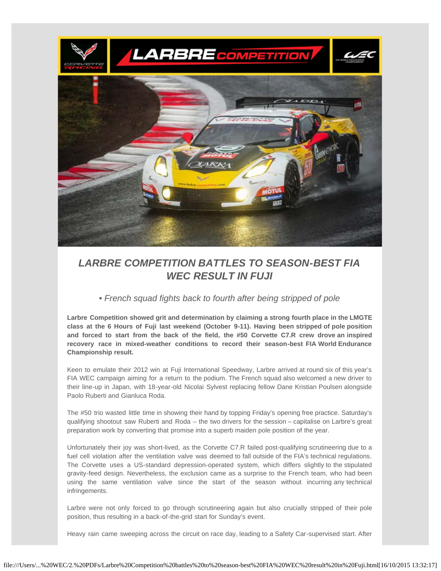

# *LARBRE COMPETITION BATTLES TO SEASON-BEST FIA WEC RESULT IN FUJI*

*• French squad fights back to fourth after being stripped of pole*

**Larbre Competition showed grit and determination by claiming a strong fourth place in the LMGTE class at the 6 Hours of Fuji last weekend (October 9-11). Having been stripped of pole position and forced to start from the back of the field, the #50 Corvette C7.R crew drove an inspired recovery race in mixed-weather conditions to record their season-best FIA World Endurance Championship result.**

Keen to emulate their 2012 win at Fuji International Speedway, Larbre arrived at round six of this year's FIA WEC campaign aiming for a return to the podium. The French squad also welcomed a new driver to their line-up in Japan, with 18-year-old Nicolai Sylvest replacing fellow Dane Kristian Poulsen alongside Paolo Ruberti and Gianluca Roda.

The #50 trio wasted little time in showing their hand by topping Friday's opening free practice. Saturday's qualifying shootout saw Ruberti and Roda – the two drivers for the session – capitalise on Larbre's great preparation work by converting that promise into a superb maiden pole position of the year.

Unfortunately their joy was short-lived, as the Corvette C7.R failed post-qualifying scrutineering due to a fuel cell violation after the ventilation valve was deemed to fall outside of the FIA's technical regulations. The Corvette uses a US-standard depression-operated system, which differs slightly to the stipulated gravity-feed design. Nevertheless, the exclusion came as a surprise to the French team, who had been using the same ventilation valve since the start of the season without incurring any technical infringements.

Larbre were not only forced to go through scrutineering again but also crucially stripped of their pole position, thus resulting in a back-of-the-grid start for Sunday's event.

Heavy rain came sweeping across the circuit on race day, leading to a Safety Car-supervised start. After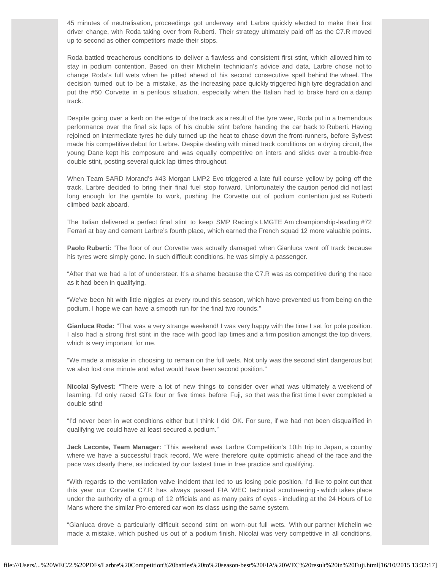45 minutes of neutralisation, proceedings got underway and Larbre quickly elected to make their first driver change, with Roda taking over from Ruberti. Their strategy ultimately paid off as the C7.R moved up to second as other competitors made their stops.

Roda battled treacherous conditions to deliver a flawless and consistent first stint, which allowed him to stay in podium contention. Based on their Michelin technician's advice and data, Larbre chose not to change Roda's full wets when he pitted ahead of his second consecutive spell behind the wheel. The decision turned out to be a mistake, as the increasing pace quickly triggered high tyre degradation and put the #50 Corvette in a perilous situation, especially when the Italian had to brake hard on a damp track.

Despite going over a kerb on the edge of the track as a result of the tyre wear, Roda put in a tremendous performance over the final six laps of his double stint before handing the car back to Ruberti. Having rejoined on intermediate tyres he duly turned up the heat to chase down the front-runners, before Sylvest made his competitive debut for Larbre. Despite dealing with mixed track conditions on a drying circuit, the young Dane kept his composure and was equally competitive on inters and slicks over a trouble-free double stint, posting several quick lap times throughout.

When Team SARD Morand's #43 Morgan LMP2 Evo triggered a late full course yellow by going off the track, Larbre decided to bring their final fuel stop forward. Unfortunately the caution period did not last long enough for the gamble to work, pushing the Corvette out of podium contention just as Ruberti climbed back aboard.

The Italian delivered a perfect final stint to keep SMP Racing's LMGTE Am championship-leading #72 Ferrari at bay and cement Larbre's fourth place, which earned the French squad 12 more valuable points.

**Paolo Ruberti:** "The floor of our Corvette was actually damaged when Gianluca went off track because his tyres were simply gone. In such difficult conditions, he was simply a passenger.

"After that we had a lot of understeer. It's a shame because the C7.R was as competitive during the race as it had been in qualifying.

"We've been hit with little niggles at every round this season, which have prevented us from being on the podium. I hope we can have a smooth run for the final two rounds."

**Gianluca Roda:** "That was a very strange weekend! I was very happy with the time I set for pole position. I also had a strong first stint in the race with good lap times and a firm position amongst the top drivers, which is very important for me.

"We made a mistake in choosing to remain on the full wets. Not only was the second stint dangerous but we also lost one minute and what would have been second position."

**Nicolai Sylvest:** "There were a lot of new things to consider over what was ultimately a weekend of learning. I'd only raced GTs four or five times before Fuji, so that was the first time I ever completed a double stint!

"I'd never been in wet conditions either but I think I did OK. For sure, if we had not been disqualified in qualifying we could have at least secured a podium."

**Jack Leconte, Team Manager:** "This weekend was Larbre Competition's 10th trip to Japan, a country where we have a successful track record. We were therefore quite optimistic ahead of the race and the pace was clearly there, as indicated by our fastest time in free practice and qualifying.

"With regards to the ventilation valve incident that led to us losing pole position, I'd like to point out that this year our Corvette C7.R has always passed FIA WEC technical scrutineering - which takes place under the authority of a group of 12 officials and as many pairs of eyes - including at the 24 Hours of Le Mans where the similar Pro-entered car won its class using the same system.

"Gianluca drove a particularly difficult second stint on worn-out full wets. With our partner Michelin we made a mistake, which pushed us out of a podium finish. Nicolai was very competitive in all conditions,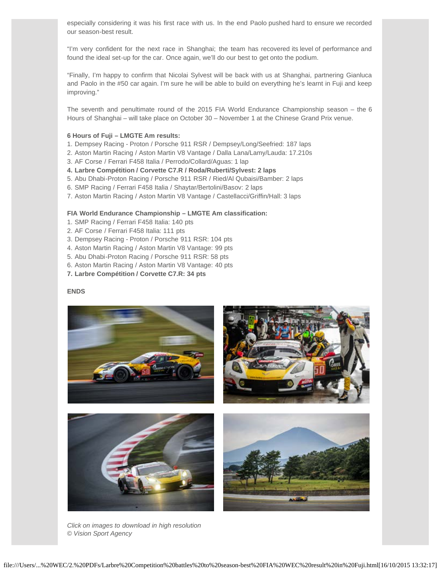especially considering it was his first race with us. In the end Paolo pushed hard to ensure we recorded our season-best result.

"I'm very confident for the next race in Shanghai; the team has recovered its level of performance and found the ideal set-up for the car. Once again, we'll do our best to get onto the podium.

"Finally, I'm happy to confirm that Nicolai Sylvest will be back with us at Shanghai, partnering Gianluca and Paolo in the #50 car again. I'm sure he will be able to build on everything he's learnt in Fuji and keep improving."

The seventh and penultimate round of the 2015 FIA World Endurance Championship season – the 6 Hours of Shanghai – will take place on October 30 – November 1 at the Chinese Grand Prix venue.

### **6 Hours of Fuji – LMGTE Am results:**

- 1. Dempsey Racing Proton / Porsche 911 RSR / Dempsey/Long/Seefried: 187 laps
- 2. Aston Martin Racing / Aston Martin V8 Vantage / Dalla Lana/Lamy/Lauda: 17.210s
- 3. AF Corse / Ferrari F458 Italia / Perrodo/Collard/Aguas: 1 lap

## **4. Larbre Compétition / Corvette C7.R / Roda/Ruberti/Sylvest: 2 laps**

- 5. Abu Dhabi-Proton Racing / Porsche 911 RSR / Ried/Al Qubaisi/Bamber: 2 laps
- 6. SMP Racing / Ferrari F458 Italia / Shaytar/Bertolini/Basov: 2 laps
- 7. Aston Martin Racing / Aston Martin V8 Vantage / Castellacci/Griffin/Hall: 3 laps

## **FIA World Endurance Championship – LMGTE Am classification:**

- 1. SMP Racing / Ferrari F458 Italia: 140 pts
- 2. AF Corse / Ferrari F458 Italia: 111 pts
- 3. Dempsey Racing Proton / Porsche 911 RSR: 104 pts
- 4. Aston Martin Racing / Aston Martin V8 Vantage: 99 pts
- 5. Abu Dhabi-Proton Racing / Porsche 911 RSR: 58 pts
- 6. Aston Martin Racing / Aston Martin V8 Vantage: 40 pts
- **7. Larbre Compétition / Corvette C7.R: 34 pts**

#### **ENDS**



*Click on images to download in high resolution* © *Vision Sport Agency*